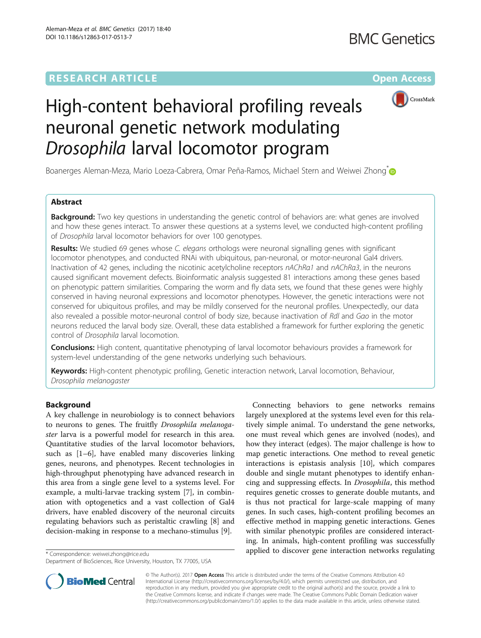# **RESEARCH ARTICLE External Structure Community Community Community Community Community Community Community Community**



# High-content behavioral profiling reveals neuronal genetic network modulating Drosophila larval locomotor program

Boanerges Aleman-Meza, Mario Loeza-Cabrera, Omar Peña-Ramos, Michael Stern and Weiwei Zhong<sup>\*</sup>

# Abstract

**Background:** Two key questions in understanding the genetic control of behaviors are: what genes are involved and how these genes interact. To answer these questions at a systems level, we conducted high-content profiling of Drosophila larval locomotor behaviors for over 100 genotypes.

Results: We studied 69 genes whose C. elegans orthologs were neuronal signalling genes with significant locomotor phenotypes, and conducted RNAi with ubiquitous, pan-neuronal, or motor-neuronal Gal4 drivers. Inactivation of 42 genes, including the nicotinic acetylcholine receptors nAChRα1 and nAChRα3, in the neurons caused significant movement defects. Bioinformatic analysis suggested 81 interactions among these genes based on phenotypic pattern similarities. Comparing the worm and fly data sets, we found that these genes were highly conserved in having neuronal expressions and locomotor phenotypes. However, the genetic interactions were not conserved for ubiquitous profiles, and may be mildly conserved for the neuronal profiles. Unexpectedly, our data also revealed a possible motor-neuronal control of body size, because inactivation of RdI and Gao in the motor neurons reduced the larval body size. Overall, these data established a framework for further exploring the genetic control of Drosophila larval locomotion.

Conclusions: High content, quantitative phenotyping of larval locomotor behaviours provides a framework for system-level understanding of the gene networks underlying such behaviours.

Keywords: High-content phenotypic profiling, Genetic interaction network, Larval locomotion, Behaviour, Drosophila melanogaster

# Background

A key challenge in neurobiology is to connect behaviors to neurons to genes. The fruitfly Drosophila melanogaster larva is a powerful model for research in this area. Quantitative studies of the larval locomotor behaviors, such as [[1](#page-9-0)–[6](#page-10-0)], have enabled many discoveries linking genes, neurons, and phenotypes. Recent technologies in high-throughput phenotyping have advanced research in this area from a single gene level to a systems level. For example, a multi-larvae tracking system [\[7](#page-10-0)], in combination with optogenetics and a vast collection of Gal4 drivers, have enabled discovery of the neuronal circuits regulating behaviors such as peristaltic crawling [[8\]](#page-10-0) and decision-making in response to a mechano-stimulus [[9\]](#page-10-0).

Connecting behaviors to gene networks remains largely unexplored at the systems level even for this relatively simple animal. To understand the gene networks, one must reveal which genes are involved (nodes), and how they interact (edges). The major challenge is how to map genetic interactions. One method to reveal genetic interactions is epistasis analysis [[10\]](#page-10-0), which compares double and single mutant phenotypes to identify enhancing and suppressing effects. In Drosophila, this method requires genetic crosses to generate double mutants, and is thus not practical for large-scale mapping of many genes. In such cases, high-content profiling becomes an effective method in mapping genetic interactions. Genes with similar phenotypic profiles are considered interacting. In animals, high-content profiling was successfully applied to discover gene interaction networks regulating \* Correspondence: [weiwei.zhong@rice.edu](mailto:weiwei.zhong@rice.edu)



© The Author(s). 2017 **Open Access** This article is distributed under the terms of the Creative Commons Attribution 4.0 International License [\(http://creativecommons.org/licenses/by/4.0/](http://creativecommons.org/licenses/by/4.0/)), which permits unrestricted use, distribution, and reproduction in any medium, provided you give appropriate credit to the original author(s) and the source, provide a link to the Creative Commons license, and indicate if changes were made. The Creative Commons Public Domain Dedication waiver [\(http://creativecommons.org/publicdomain/zero/1.0/](http://creativecommons.org/publicdomain/zero/1.0/)) applies to the data made available in this article, unless otherwise stated.

Department of BioSciences, Rice University, Houston, TX 77005, USA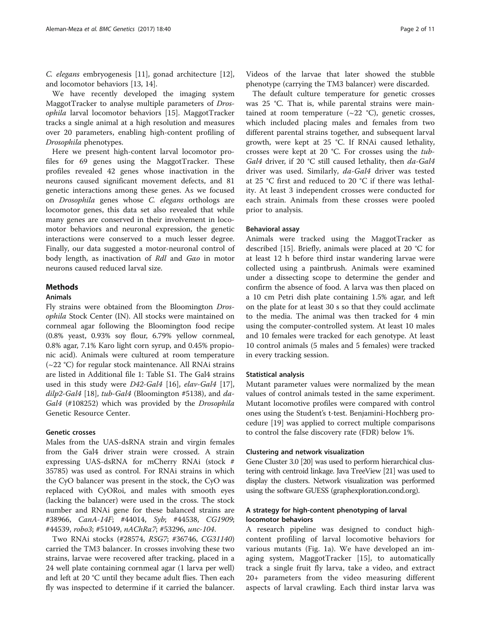C. elegans embryogenesis [\[11](#page-10-0)], gonad architecture [\[12](#page-10-0)], and locomotor behaviors [[13, 14\]](#page-10-0).

We have recently developed the imaging system MaggotTracker to analyse multiple parameters of Drosophila larval locomotor behaviors [[15](#page-10-0)]. MaggotTracker tracks a single animal at a high resolution and measures over 20 parameters, enabling high-content profiling of Drosophila phenotypes.

Here we present high-content larval locomotor profiles for 69 genes using the MaggotTracker. These profiles revealed 42 genes whose inactivation in the neurons caused significant movement defects, and 81 genetic interactions among these genes. As we focused on Drosophila genes whose C. elegans orthologs are locomotor genes, this data set also revealed that while many genes are conserved in their involvement in locomotor behaviors and neuronal expression, the genetic interactions were conserved to a much lesser degree. Finally, our data suggested a motor-neuronal control of body length, as inactivation of Rdl and Gαo in motor neurons caused reduced larval size.

### Methods

# Animals

Fly strains were obtained from the Bloomington Drosophila Stock Center (IN). All stocks were maintained on cornmeal agar following the Bloomington food recipe (0.8% yeast, 0.93% soy flour, 6.79% yellow cornmeal, 0.8% agar, 7.1% Karo light corn syrup, and 0.45% propionic acid). Animals were cultured at room temperature (~22 °C) for regular stock maintenance. All RNAi strains are listed in Additional file [1:](#page-9-0) Table S1. The Gal4 strains used in this study were D42-Gal4 [[16](#page-10-0)], elav-Gal4 [\[17](#page-10-0)], dilp2-Gal4 [\[18](#page-10-0)], tub-Gal4 (Bloomington #5138), and da-Gal4 (#108252) which was provided by the Drosophila Genetic Resource Center.

# Genetic crosses

Males from the UAS-dsRNA strain and virgin females from the Gal4 driver strain were crossed. A strain expressing UAS-dsRNA for mCherry RNAi (stock # 35785) was used as control. For RNAi strains in which the CyO balancer was present in the stock, the CyO was replaced with CyORoi, and males with smooth eyes (lacking the balancer) were used in the cross. The stock number and RNAi gene for these balanced strains are #38966, CanA-14F; #44014, Syb; #44538, CG1909; #44539, robo3; #51049, nAChRα7; #53296, unc-104.

Two RNAi stocks (#28574, RSG7; #36746, CG31140) carried the TM3 balancer. In crosses involving these two strains, larvae were recovered after tracking, placed in a 24 well plate containing cornmeal agar (1 larva per well) and left at 20 °C until they became adult flies. Then each fly was inspected to determine if it carried the balancer. Videos of the larvae that later showed the stubble phenotype (carrying the TM3 balancer) were discarded.

The default culture temperature for genetic crosses was 25 °C. That is, while parental strains were maintained at room temperature  $(\sim 22 \text{ °C})$ , genetic crosses, which included placing males and females from two different parental strains together, and subsequent larval growth, were kept at 25 °C. If RNAi caused lethality, crosses were kept at 20 °C. For crosses using the tub-Gal4 driver, if 20 °C still caused lethality, then da-Gal4 driver was used. Similarly, da-Gal4 driver was tested at 25 °C first and reduced to 20 °C if there was lethality. At least 3 independent crosses were conducted for each strain. Animals from these crosses were pooled prior to analysis.

#### Behavioral assay

Animals were tracked using the MaggotTracker as described [\[15](#page-10-0)]. Briefly, animals were placed at 20 °C for at least 12 h before third instar wandering larvae were collected using a paintbrush. Animals were examined under a dissecting scope to determine the gender and confirm the absence of food. A larva was then placed on a 10 cm Petri dish plate containing 1.5% agar, and left on the plate for at least 30 s so that they could acclimate to the media. The animal was then tracked for 4 min using the computer-controlled system. At least 10 males and 10 females were tracked for each genotype. At least 10 control animals (5 males and 5 females) were tracked in every tracking session.

#### Statistical analysis

Mutant parameter values were normalized by the mean values of control animals tested in the same experiment. Mutant locomotive profiles were compared with control ones using the Student's t-test. Benjamini-Hochberg procedure [[19](#page-10-0)] was applied to correct multiple comparisons to control the false discovery rate (FDR) below 1%.

#### Clustering and network visualization

Gene Cluster 3.0 [\[20\]](#page-10-0) was used to perform hierarchical clustering with centroid linkage. Java TreeView [[21\]](#page-10-0) was used to display the clusters. Network visualization was performed using the software GUESS ([graphexploration.cond.org\)](http://graphexploration.cond.org/).

# A strategy for high-content phenotyping of larval locomotor behaviors

A research pipeline was designed to conduct highcontent profiling of larval locomotive behaviors for various mutants (Fig. [1a](#page-2-0)). We have developed an imaging system, MaggotTracker [\[15](#page-10-0)], to automatically track a single fruit fly larva, take a video, and extract 20+ parameters from the video measuring different aspects of larval crawling. Each third instar larva was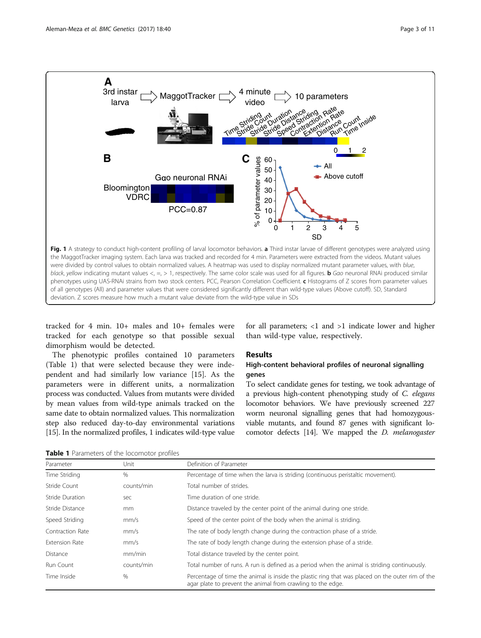<span id="page-2-0"></span>

deviation. Z scores measure how much a mutant value deviate from the wild-type value in SDs

tracked for 4 min. 10+ males and 10+ females were tracked for each genotype so that possible sexual dimorphism would be detected.

The phenotypic profiles contained 10 parameters (Table 1) that were selected because they were independent and had similarly low variance [\[15](#page-10-0)]. As the parameters were in different units, a normalization process was conducted. Values from mutants were divided by mean values from wild-type animals tracked on the same date to obtain normalized values. This normalization step also reduced day-to-day environmental variations [[15](#page-10-0)]. In the normalized profiles, 1 indicates wild-type value for all parameters; <1 and >1 indicate lower and higher than wild-type value, respectively.

#### Results

# High-content behavioral profiles of neuronal signalling genes

To select candidate genes for testing, we took advantage of a previous high-content phenotyping study of C. elegans locomotor behaviors. We have previously screened 227 worm neuronal signalling genes that had homozygousviable mutants, and found 87 genes with significant locomotor defects [\[14](#page-10-0)]. We mapped the D. melanogaster

Table 1 Parameters of the locomotor profiles

| Parameter        | Unit       | Definition of Parameter                                                                                                                                         |
|------------------|------------|-----------------------------------------------------------------------------------------------------------------------------------------------------------------|
| Time Striding    | $\%$       | Percentage of time when the larva is striding (continuous peristaltic movement).                                                                                |
| Stride Count     | counts/min | Total number of strides.                                                                                                                                        |
| Stride Duration  | sec        | Time duration of one stride.                                                                                                                                    |
| Stride Distance  | mm         | Distance traveled by the center point of the animal during one stride.                                                                                          |
| Speed Striding   | mm/s       | Speed of the center point of the body when the animal is striding.                                                                                              |
| Contraction Rate | mm/s       | The rate of body length change during the contraction phase of a stride.                                                                                        |
| Extension Rate   | mm/s       | The rate of body length change during the extension phase of a stride.                                                                                          |
| Distance         | mm/min     | Total distance traveled by the center point.                                                                                                                    |
| Run Count        | counts/min | Total number of runs. A run is defined as a period when the animal is striding continuously.                                                                    |
| Time Inside      | $\%$       | Percentage of time the animal is inside the plastic ring that was placed on the outer rim of the<br>agar plate to prevent the animal from crawling to the edge. |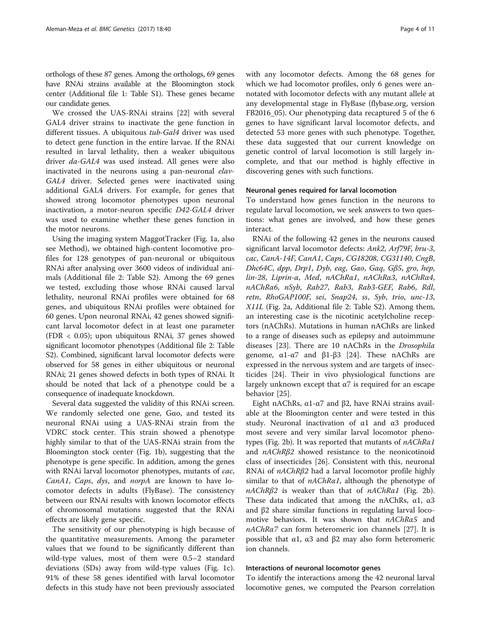orthologs of these 87 genes. Among the orthologs, 69 genes have RNAi strains available at the Bloomington stock center (Additional file [1](#page-9-0): Table S1). These genes became our candidate genes.

We crossed the UAS-RNAi strains [\[22](#page-10-0)] with several GAL4 driver strains to inactivate the gene function in different tissues. A ubiquitous tub-Gal4 driver was used to detect gene function in the entire larvae. If the RNAi resulted in larval lethality, then a weaker ubiquitous driver da-GAL4 was used instead. All genes were also inactivated in the neurons using a pan-neuronal elav-GAL4 driver. Selected genes were inactivated using additional GAL4 drivers. For example, for genes that showed strong locomotor phenotypes upon neuronal inactivation, a motor-neuron specific D42-GAL4 driver was used to examine whether these genes function in the motor neurons.

Using the imaging system MaggotTracker (Fig. [1a](#page-2-0), also see Method), we obtained high-content locomotive profiles for 128 genotypes of pan-neuronal or ubiquitous RNAi after analysing over 3600 videos of individual animals (Additional file [2](#page-9-0): Table S2). Among the 69 genes we tested, excluding those whose RNAi caused larval lethality, neuronal RNAi profiles were obtained for 68 genes, and ubiquitous RNAi profiles were obtained for 60 genes. Upon neuronal RNAi, 42 genes showed significant larval locomotor defect in at least one parameter (FDR < 0.05); upon ubiquitous RNAi, 37 genes showed significant locomotor phenotypes (Additional file [2](#page-9-0): Table S2). Combined, significant larval locomotor defects were observed for 58 genes in either ubiquitous or neuronal RNAi; 21 genes showed defects in both types of RNAi. It should be noted that lack of a phenotype could be a consequence of inadequate knockdown.

Several data suggested the validity of this RNAi screen. We randomly selected one gene, Gαo, and tested its neuronal RNAi using a UAS-RNAi strain from the VDRC stock center. This strain showed a phenotype highly similar to that of the UAS-RNAi strain from the Bloomington stock center (Fig. [1b](#page-2-0)), suggesting that the phenotype is gene specific. In addition, among the genes with RNAi larval locomotor phenotypes, mutants of cac, CanA1, Caps, dys, and norpA are known to have locomotor defects in adults (FlyBase). The consistency between our RNAi results with known locomotor effects of chromosomal mutations suggested that the RNAi effects are likely gene specific.

The sensitivity of our phenotyping is high because of the quantitative measurements. Among the parameter values that we found to be significantly different than wild-type values, most of them were 0.5–2 standard deviations (SDs) away from wild-type values (Fig. [1c](#page-2-0)). 91% of these 58 genes identified with larval locomotor defects in this study have not been previously associated with any locomotor defects. Among the 68 genes for which we had locomotor profiles, only 6 genes were annotated with locomotor defects with any mutant allele at any developmental stage in FlyBase ([flybase.org](http://flybase.org), version FB2016\_05). Our phenotyping data recaptured 5 of the 6

genes to have significant larval locomotor defects, and detected 53 more genes with such phenotype. Together, these data suggested that our current knowledge on genetic control of larval locomotion is still largely incomplete, and that our method is highly effective in discovering genes with such functions.

#### Neuronal genes required for larval locomotion

To understand how genes function in the neurons to regulate larval locomotion, we seek answers to two questions: what genes are involved, and how these genes interact.

RNAi of the following 42 genes in the neurons caused significant larval locomotor defects: Ank2, Arf79F, bru-3, cac, CanA-14F, CanA1, Caps, CG18208, CG31140, CngB, Dhc64C, dpp, Drp1, Dyb, eag, Gαo, Gαq, Gβ5, gro, hep, lin-28, Liprin-α, Med, nAChRα1, nAChRα3, nAChRα4, nAChRα6, nSyb, Rab27, Rab3, Rab3-GEF, Rab6, Rdl, retn, RhoGAP100F, sei, Snap24, ss, Syb, trio, unc-13, X11L (Fig. [2a,](#page-4-0) Additional file [2](#page-9-0): Table S2). Among them, an interesting case is the nicotinic acetylcholine receptors (nAChRs). Mutations in human nAChRs are linked to a range of diseases such as epilepsy and autoimmune diseases [[23\]](#page-10-0). There are 10 nAChRs in the Drosophila genome,  $α1-α7$  and  $β1-β3$  [\[24\]](#page-10-0). These nAChRs are expressed in the nervous system and are targets of insecticides [[24](#page-10-0)]. Their in vivo physiological functions are largely unknown except that  $\alpha$ 7 is required for an escape behavior [[25\]](#page-10-0).

Eight nAChRs,  $α1-α7$  and  $β2$ , have RNAi strains available at the Bloomington center and were tested in this study. Neuronal inactivation of α1 and α3 produced most severe and very similar larval locomotor phenotypes (Fig. [2b](#page-4-0)). It was reported that mutants of nAChRα1 and nAChRβ2 showed resistance to the neonicotinoid class of insecticides [\[26](#page-10-0)]. Consistent with this, neuronal RNAi of nAChRβ2 had a larval locomotor profile highly similar to that of  $nAChRa1$ , although the phenotype of  $nAChR\beta2$  is weaker than that of  $nAChRa1$  (Fig. [2b](#page-4-0)). These data indicated that among the nAChRs,  $\alpha$ 1,  $\alpha$ 3 and β2 share similar functions in regulating larval locomotive behaviors. It was shown that *nAChRα5* and  $nAChRa7$  can form heteromeric ion channels [[27\]](#page-10-0). It is possible that  $α1$ ,  $α3$  and  $β2$  may also form heteromeric ion channels.

#### Interactions of neuronal locomotor genes

To identify the interactions among the 42 neuronal larval locomotive genes, we computed the Pearson correlation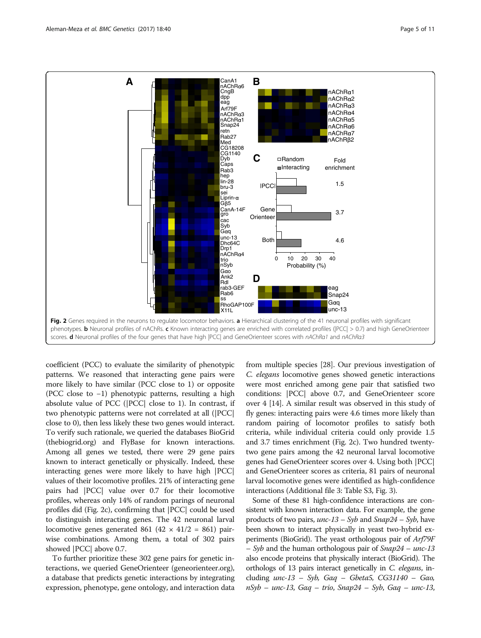<span id="page-4-0"></span>

coefficient (PCC) to evaluate the similarity of phenotypic patterns. We reasoned that interacting gene pairs were more likely to have similar (PCC close to 1) or opposite (PCC close to −1) phenotypic patterns, resulting a high absolute value of PCC (|PCC| close to 1). In contrast, if two phenotypic patterns were not correlated at all (|PCC| close to 0), then less likely these two genes would interact. To verify such rationale, we queried the databases BioGrid ([thebiogrid.org\)](http://thebiogrid.org) and FlyBase for known interactions. Among all genes we tested, there were 29 gene pairs known to interact genetically or physically. Indeed, these interacting genes were more likely to have high |PCC| values of their locomotive profiles. 21% of interacting gene pairs had |PCC| value over 0.7 for their locomotive profiles, whereas only 14% of random parings of neuronal profiles did (Fig. 2c), confirming that |PCC| could be used to distinguish interacting genes. The 42 neuronal larval locomotive genes generated 861 (42  $\times$  41/2 = 861) pairwise combinations. Among them, a total of 302 pairs showed |PCC| above 0.7.

To further prioritize these 302 gene pairs for genetic interactions, we queried GeneOrienteer [\(geneorienteer.org](http://geneorienteer.org)), a database that predicts genetic interactions by integrating expression, phenotype, gene ontology, and interaction data

from multiple species [[28](#page-10-0)]. Our previous investigation of C. elegans locomotive genes showed genetic interactions were most enriched among gene pair that satisfied two conditions: |PCC| above 0.7, and GeneOrienteer score over 4 [\[14\]](#page-10-0). A similar result was observed in this study of fly genes: interacting pairs were 4.6 times more likely than random pairing of locomotor profiles to satisfy both criteria, while individual criteria could only provide 1.5 and 3.7 times enrichment (Fig. 2c). Two hundred twentytwo gene pairs among the 42 neuronal larval locomotive genes had GeneOrienteer scores over 4. Using both |PCC| and GeneOrienteer scores as criteria, 81 pairs of neuronal larval locomotive genes were identified as high-confidence interactions (Additional file [3:](#page-9-0) Table S3, Fig. [3\)](#page-5-0).

Some of these 81 high-confidence interactions are consistent with known interaction data. For example, the gene products of two pairs,  $unc-13 - Syb$  and  $Snap24 - Syb$ , have been shown to interact physically in yeast two-hybrid experiments (BioGrid). The yeast orthologous pair of Arf79F – Syb and the human orthologous pair of  $Snap24 - unc-13$ also encode proteins that physically interact (BioGrid). The orthologs of 13 pairs interact genetically in C. elegans, including  $unc-13 - Syb$ ,  $G\alpha q - Gbeta5$ , CG31140 – Gao, nSyb – unc-13, Gαq – trio, Snap24 – Syb, Gαq – unc-13,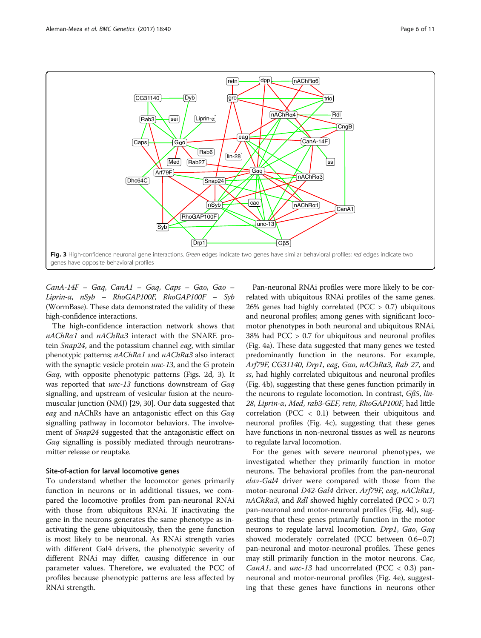<span id="page-5-0"></span>

CanA-14F – Gαq, CanA1 – Gαq, Caps – Gαo, Gαo – Liprin-α, nSyb – RhoGAP100F, RhoGAP100F – Syb (WormBase). These data demonstrated the validity of these high-confidence interactions.

The high-confidence interaction network shows that nAChRα1 and nAChRα3 interact with the SNARE protein Snap24, and the potassium channel eag, with similar phenotypic patterns; nAChRα1 and nAChRα3 also interact with the synaptic vesicle protein *unc-13*, and the G protein Gαq, with opposite phenotypic patterns (Figs. [2d,](#page-4-0) 3). It was reported that unc-13 functions downstream of Gαq signalling, and upstream of vesicular fusion at the neuromuscular junction (NMJ) [\[29, 30](#page-10-0)]. Our data suggested that eag and nAChRs have an antagonistic effect on this Gαq signalling pathway in locomotor behaviors. The involvement of Snap24 suggested that the antagonistic effect on Gαq signalling is possibly mediated through neurotransmitter release or reuptake.

#### Site-of-action for larval locomotive genes

To understand whether the locomotor genes primarily function in neurons or in additional tissues, we compared the locomotive profiles from pan-neuronal RNAi with those from ubiquitous RNAi. If inactivating the gene in the neurons generates the same phenotype as inactivating the gene ubiquitously, then the gene function is most likely to be neuronal. As RNAi strength varies with different Gal4 drivers, the phenotypic severity of different RNAi may differ, causing difference in our parameter values. Therefore, we evaluated the PCC of profiles because phenotypic patterns are less affected by RNAi strength.

Pan-neuronal RNAi profiles were more likely to be correlated with ubiquitous RNAi profiles of the same genes. 26% genes had highly correlated (PCC > 0.7) ubiquitous and neuronal profiles; among genes with significant locomotor phenotypes in both neuronal and ubiquitous RNAi, 38% had PCC > 0.7 for ubiquitous and neuronal profiles (Fig. [4a](#page-6-0)). These data suggested that many genes we tested predominantly function in the neurons. For example, Arf79F, CG31140, Drp1, eag, Gαo, nAChRα3, Rab 27, and ss, had highly correlated ubiquitous and neuronal profiles (Fig. [4b\)](#page-6-0), suggesting that these genes function primarily in the neurons to regulate locomotion. In contrast, Gβ5, lin-28, Liprin-α, Med, rab3-GEF, retn, RhoGAP100F, had little correlation (PCC < 0.1) between their ubiquitous and neuronal profiles (Fig. [4c\)](#page-6-0), suggesting that these genes have functions in non-neuronal tissues as well as neurons to regulate larval locomotion.

For the genes with severe neuronal phenotypes, we investigated whether they primarily function in motor neurons. The behavioral profiles from the pan-neuronal elav-Gal4 driver were compared with those from the motor-neuronal D42-Gal4 driver. Arf79F, eag, nAChRα1,  $nAChR\alpha3$ , and Rdl showed highly correlated (PCC > 0.7) pan-neuronal and motor-neuronal profiles (Fig. [4d\)](#page-6-0), suggesting that these genes primarily function in the motor neurons to regulate larval locomotion. Drp1, Gαo, Gαq showed moderately correlated (PCC between 0.6–0.7) pan-neuronal and motor-neuronal profiles. These genes may still primarily function in the motor neurons. Cac, CanA1, and  $unc-13$  had uncorrelated (PCC < 0.3) panneuronal and motor-neuronal profiles (Fig. [4e](#page-6-0)), suggesting that these genes have functions in neurons other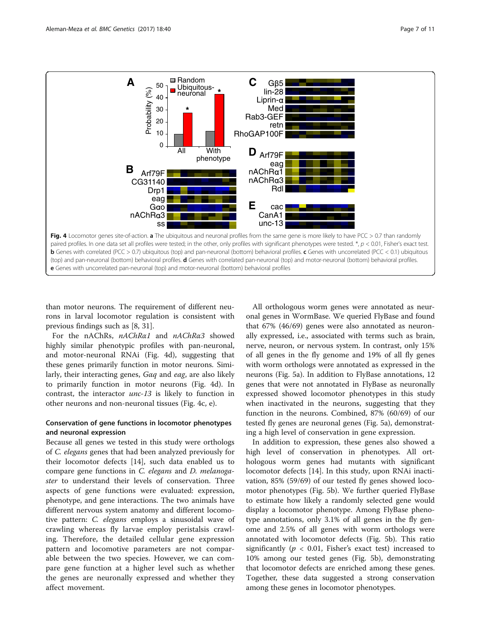<span id="page-6-0"></span>

than motor neurons. The requirement of different neurons in larval locomotor regulation is consistent with previous findings such as [[8, 31\]](#page-10-0).

For the nAChRs, nAChRα1 and nAChRα3 showed highly similar phenotypic profiles with pan-neuronal, and motor-neuronal RNAi (Fig. 4d), suggesting that these genes primarily function in motor neurons. Similarly, their interacting genes, Gαq and eag, are also likely to primarily function in motor neurons (Fig. 4d). In contrast, the interactor unc-13 is likely to function in other neurons and non-neuronal tissues (Fig. 4c, e).

# Conservation of gene functions in locomotor phenotypes and neuronal expression

Because all genes we tested in this study were orthologs of C. elegans genes that had been analyzed previously for their locomotor defects [\[14\]](#page-10-0), such data enabled us to compare gene functions in C. elegans and D. melanogaster to understand their levels of conservation. Three aspects of gene functions were evaluated: expression, phenotype, and gene interactions. The two animals have different nervous system anatomy and different locomotive pattern: C. elegans employs a sinusoidal wave of crawling whereas fly larvae employ peristalsis crawling. Therefore, the detailed cellular gene expression pattern and locomotive parameters are not comparable between the two species. However, we can compare gene function at a higher level such as whether the genes are neuronally expressed and whether they affect movement.

All orthologous worm genes were annotated as neuronal genes in WormBase. We queried FlyBase and found that 67% (46/69) genes were also annotated as neuronally expressed, i.e., associated with terms such as brain, nerve, neuron, or nervous system. In contrast, only 15% of all genes in the fly genome and 19% of all fly genes with worm orthologs were annotated as expressed in the neurons (Fig. [5a\)](#page-7-0). In addition to FlyBase annotations, 12 genes that were not annotated in FlyBase as neuronally expressed showed locomotor phenotypes in this study when inactivated in the neurons, suggesting that they function in the neurons. Combined, 87% (60/69) of our tested fly genes are neuronal genes (Fig. [5a](#page-7-0)), demonstrating a high level of conservation in gene expression.

In addition to expression, these genes also showed a high level of conservation in phenotypes. All orthologous worm genes had mutants with significant locomotor defects [[14](#page-10-0)]. In this study, upon RNAi inactivation, 85% (59/69) of our tested fly genes showed locomotor phenotypes (Fig. [5b\)](#page-7-0). We further queried FlyBase to estimate how likely a randomly selected gene would display a locomotor phenotype. Among FlyBase phenotype annotations, only 3.1% of all genes in the fly genome and 2.5% of all genes with worm orthologs were annotated with locomotor defects (Fig. [5b](#page-7-0)). This ratio significantly ( $p < 0.01$ , Fisher's exact test) increased to 10% among our tested genes (Fig. [5b\)](#page-7-0), demonstrating that locomotor defects are enriched among these genes. Together, these data suggested a strong conservation among these genes in locomotor phenotypes.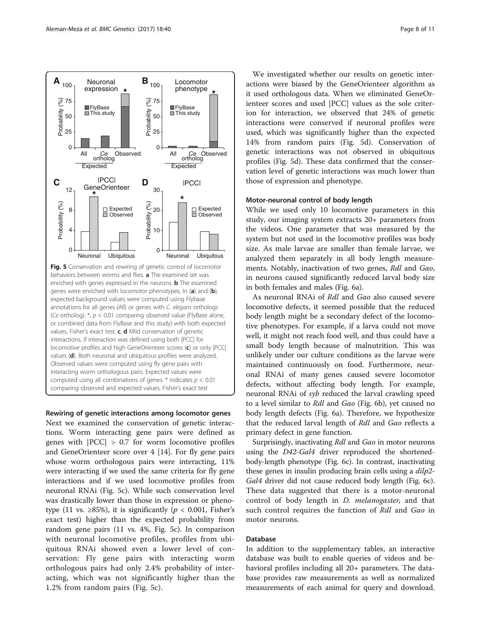<span id="page-7-0"></span>

Rewiring of genetic interactions among locomotor genes Next we examined the conservation of genetic interactions. Worm interacting gene pairs were defined as genes with |PCC| > 0.7 for worm locomotive profiles and GeneOrienteer score over 4 [\[14](#page-10-0)]. For fly gene pairs whose worm orthologous pairs were interacting, 11% were interacting if we used the same criteria for fly gene interactions and if we used locomotive profiles from neuronal RNAi (Fig. 5c). While such conservation level was drastically lower than those in expression or phenotype (11 vs.  $\geq$ 85%), it is significantly ( $p < 0.001$ , Fisher's exact test) higher than the expected probability from random gene pairs (11 vs. 4%, Fig. 5c). In comparison with neuronal locomotive profiles, profiles from ubiquitous RNAi showed even a lower level of conservation: Fly gene pairs with interacting worm orthologous pairs had only 2.4% probability of interacting, which was not significantly higher than the 1.2% from random pairs (Fig. 5c).

We investigated whether our results on genetic interactions were biased by the GeneOrienteer algorithm as it used orthologous data. When we eliminated GeneOrienteer scores and used |PCC| values as the sole criterion for interaction, we observed that 24% of genetic interactions were conserved if neuronal profiles were used, which was significantly higher than the expected 14% from random pairs (Fig. 5d). Conservation of genetic interactions was not observed in ubiquitous profiles (Fig. 5d). These data confirmed that the conservation level of genetic interactions was much lower than those of expression and phenotype.

#### Motor-neuronal control of body length

While we used only 10 locomotive parameters in this study, our imaging system extracts 20+ parameters from the videos. One parameter that was measured by the system but not used in the locomotive profiles was body size. As male larvae are smaller than female larvae, we analyzed them separately in all body length measurements. Notably, inactivation of two genes, Rdl and Gαo, in neurons caused significantly reduced larval body size in both females and males (Fig. [6a\)](#page-8-0).

As neuronal RNAi of Rdl and Gαo also caused severe locomotive defects, it seemed possible that the reduced body length might be a secondary defect of the locomotive phenotypes. For example, if a larva could not move well, it might not reach food well, and thus could have a small body length because of malnutrition. This was unlikely under our culture conditions as the larvae were maintained continuously on food. Furthermore, neuronal RNAi of many genes caused severe locomotor defects, without affecting body length. For example, neuronal RNAi of syb reduced the larval crawling speed to a level similar to Rdl and Gαo (Fig. [6b\)](#page-8-0), yet caused no body length defects (Fig. [6a](#page-8-0)). Therefore, we hypothesize that the reduced larval length of Rdl and Gαo reflects a primary defect in gene function.

Surprisingly, inactivating Rdl and Gαo in motor neurons using the D42-Gal4 driver reproduced the shortenedbody-length phenotype (Fig. [6c\)](#page-8-0). In contrast, inactivating these genes in insulin producing brain cells using a *dilp2*-Gal4 driver did not cause reduced body length (Fig. [6c](#page-8-0)). These data suggested that there is a motor-neuronal control of body length in *D. melanogaster*, and that such control requires the function of Rdl and Gαo in motor neurons.

#### Database

In addition to the supplementary tables, an interactive database was built to enable queries of videos and behavioral profiles including all 20+ parameters. The database provides raw measurements as well as normalized measurements of each animal for query and download.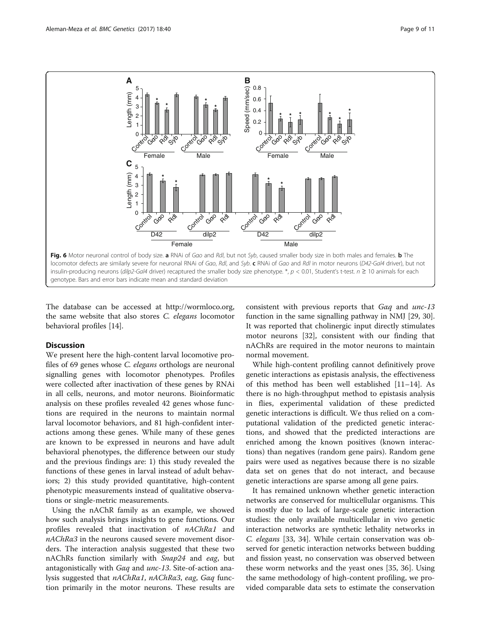<span id="page-8-0"></span>

The database can be accessed at<http://wormloco.org>, the same website that also stores C. elegans locomotor behavioral profiles [[14\]](#page-10-0).

## Discussion

We present here the high-content larval locomotive profiles of 69 genes whose C. elegans orthologs are neuronal signalling genes with locomotor phenotypes. Profiles were collected after inactivation of these genes by RNAi in all cells, neurons, and motor neurons. Bioinformatic analysis on these profiles revealed 42 genes whose functions are required in the neurons to maintain normal larval locomotor behaviors, and 81 high-confident interactions among these genes. While many of these genes are known to be expressed in neurons and have adult behavioral phenotypes, the difference between our study and the previous findings are: 1) this study revealed the functions of these genes in larval instead of adult behaviors; 2) this study provided quantitative, high-content phenotypic measurements instead of qualitative observations or single-metric measurements.

Using the nAChR family as an example, we showed how such analysis brings insights to gene functions. Our profiles revealed that inactivation of nAChRα1 and nAChRα3 in the neurons caused severe movement disorders. The interaction analysis suggested that these two nAChRs function similarly with Snap24 and eag, but antagonistically with Gαq and unc-13. Site-of-action analysis suggested that nAChRα1, nAChRα3, eag, Gαq function primarily in the motor neurons. These results are consistent with previous reports that Gαq and unc-13 function in the same signalling pathway in NMJ [\[29](#page-10-0), [30](#page-10-0)]. It was reported that cholinergic input directly stimulates motor neurons [\[32](#page-10-0)], consistent with our finding that nAChRs are required in the motor neurons to maintain normal movement.

While high-content profiling cannot definitively prove genetic interactions as epistasis analysis, the effectiveness of this method has been well established [[11](#page-10-0)–[14](#page-10-0)]. As there is no high-throughput method to epistasis analysis in flies, experimental validation of these predicted genetic interactions is difficult. We thus relied on a computational validation of the predicted genetic interactions, and showed that the predicted interactions are enriched among the known positives (known interactions) than negatives (random gene pairs). Random gene pairs were used as negatives because there is no sizable data set on genes that do not interact, and because genetic interactions are sparse among all gene pairs.

It has remained unknown whether genetic interaction networks are conserved for multicellular organisms. This is mostly due to lack of large-scale genetic interaction studies: the only available multicellular in vivo genetic interaction networks are synthetic lethality networks in C. elegans [[33](#page-10-0), [34](#page-10-0)]. While certain conservation was observed for genetic interaction networks between budding and fission yeast, no conservation was observed between these worm networks and the yeast ones [\[35, 36](#page-10-0)]. Using the same methodology of high-content profiling, we provided comparable data sets to estimate the conservation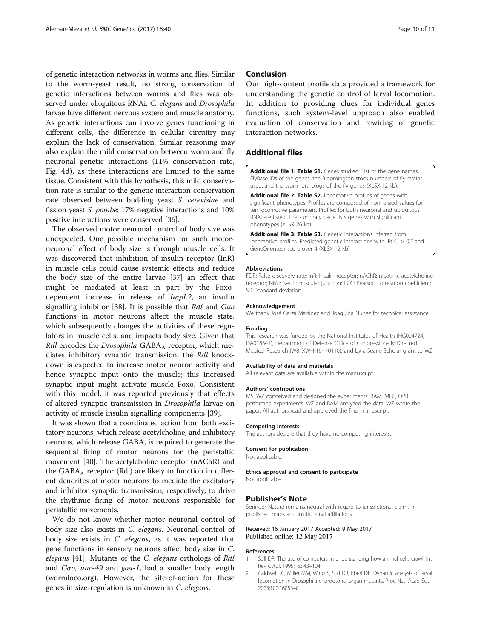<span id="page-9-0"></span>of genetic interaction networks in worms and flies. Similar to the worm-yeast result, no strong conservation of genetic interactions between worms and flies was observed under ubiquitous RNAi. C. elegans and Drosophila larvae have different nervous system and muscle anatomy. As genetic interactions can involve genes functioning in different cells, the difference in cellular circuitry may explain the lack of conservation. Similar reasoning may also explain the mild conservation between worm and fly neuronal genetic interactions (11% conservation rate, Fig. [4d](#page-6-0)), as these interactions are limited to the same tissue. Consistent with this hypothesis, this mild conservation rate is similar to the genetic interaction conservation rate observed between budding yeast S. cerevisiae and fission yeast S. pombe: 17% negative interactions and 10% positive interactions were conserved [\[36](#page-10-0)].

The observed motor neuronal control of body size was unexpected. One possible mechanism for such motorneuronal effect of body size is through muscle cells. It was discovered that inhibition of insulin receptor (InR) in muscle cells could cause systemic effects and reduce the body size of the entire larvae [[37](#page-10-0)] an effect that might be mediated at least in part by the Foxodependent increase in release of ImpL2, an insulin signalling inhibitor [[38](#page-10-0)]. It is possible that Rdl and Gαo functions in motor neurons affect the muscle state, which subsequently changes the activities of these regulators in muscle cells, and impacts body size. Given that  $Rdl$  encodes the Drosophila  $GABA_A$  receptor, which mediates inhibitory synaptic transmission, the Rdl knockdown is expected to increase motor neuron activity and hence synaptic input onto the muscle; this increased synaptic input might activate muscle Foxo. Consistent with this model, it was reported previously that effects of altered synaptic transmission in Drosophila larvae on activity of muscle insulin signalling components [[39\]](#page-10-0).

It was shown that a coordinated action from both excitatory neurons, which release acetylcholine, and inhibitory neurons, which release GABA, is required to generate the sequential firing of motor neurons for the peristaltic movement [\[40\]](#page-10-0). The acetylcholine receptor (nAChR) and the  $GABA_A$  receptor (Rdl) are likely to function in different dendrites of motor neurons to mediate the excitatory and inhibitor synaptic transmission, respectively, to drive the rhythmic firing of motor neurons responsible for peristaltic movements.

We do not know whether motor neuronal control of body size also exists in C. elegans. Neuronal control of body size exists in C. elegans, as it was reported that gene functions in sensory neurons affect body size in C. elegans [[41](#page-10-0)]. Mutants of the C. elegans orthologs of Rdl and Gαo, unc-49 and goa-1, had a smaller body length ([wormloco.org\)](http://wormloco.org). However, the site-of-action for these genes in size-regulation is unknown in C. elegans.

### Conclusion

Our high-content profile data provided a framework for understanding the genetic control of larval locomotion. In addition to providing clues for individual genes functions, such system-level approach also enabled evaluation of conservation and rewiring of genetic interaction networks.

#### Additional files

[Additional file 1: Table S1.](dx.doi.org/10.1186/s12863-017-0513-7) Genes studied. List of the gene names, FlyBase IDs of the genes, the Bloomington stock numbers of fly strains used, and the worm orthologs of the fly genes (XLSX 12 kb).

[Additional file 2: Table S2.](dx.doi.org/10.1186/s12863-017-0513-7) Locomotive profiles of genes with significant phenotypes. Profiles are composed of normalized values for ten locomotive parameters. Profiles for both neuronal and ubiquitous RNAi are listed. The summary page lists genes with significant phenotypes (XLSX 26 kb).

[Additional file 3: Table S3.](dx.doi.org/10.1186/s12863-017-0513-7) Genetic interactions inferred from locomotive profiles. Predicted genetic interactions with |PCC| > 0.7 and GeneOrienteer score over 4 (XLSX 12 kb).

#### Abbreviations

FDR: False discovery rate; InR: Insulin receptor; nAChR: nicotinic acetylcholine receptor; NMJ: Neuromuscular junction; PCC: Pearson correlation coefficient; SD: Standard deviation

#### Acknowledgement

We thank José Garza Martínez and Joaquina Nunez for technical assistance.

#### Funding

This research was funded by the National Institutes of Health (HG004724, DA018341); Department of Defense Office of Congressionally Directed Medical Research (W81XWH-16-1-0110); and by a Searle Scholar grant to WZ.

#### Availability of data and materials

All relevant data are available within the manuscript.

#### Authors' contributions

MS, WZ conceived and designed the experiments. BAM, MLC, OPR performed experiments. WZ and BAM analyzed the data. WZ wrote the paper. All authors read and approved the final manuscript.

#### Competing interests

The authors declare that they have no competing interests.

# Consent for publication

Not applicable.

# Ethics approval and consent to participate

Not applicable.

#### Publisher's Note

Springer Nature remains neutral with regard to jurisdictional claims in published maps and institutional affiliations.

#### Received: 16 January 2017 Accepted: 9 May 2017 Published online: 12 May 2017

#### References

- 1. Soll DR. The use of computers in understanding how animal cells crawl. Int Rev Cytol. 1995;163:43–104.
- 2. Caldwell JC, Miller MM, Wing S, Soll DR, Eberl DF. Dynamic analysis of larval locomotion in Drosophila chordotonal organ mutants. Proc Natl Acad Sci. 2003;100:16053–8.